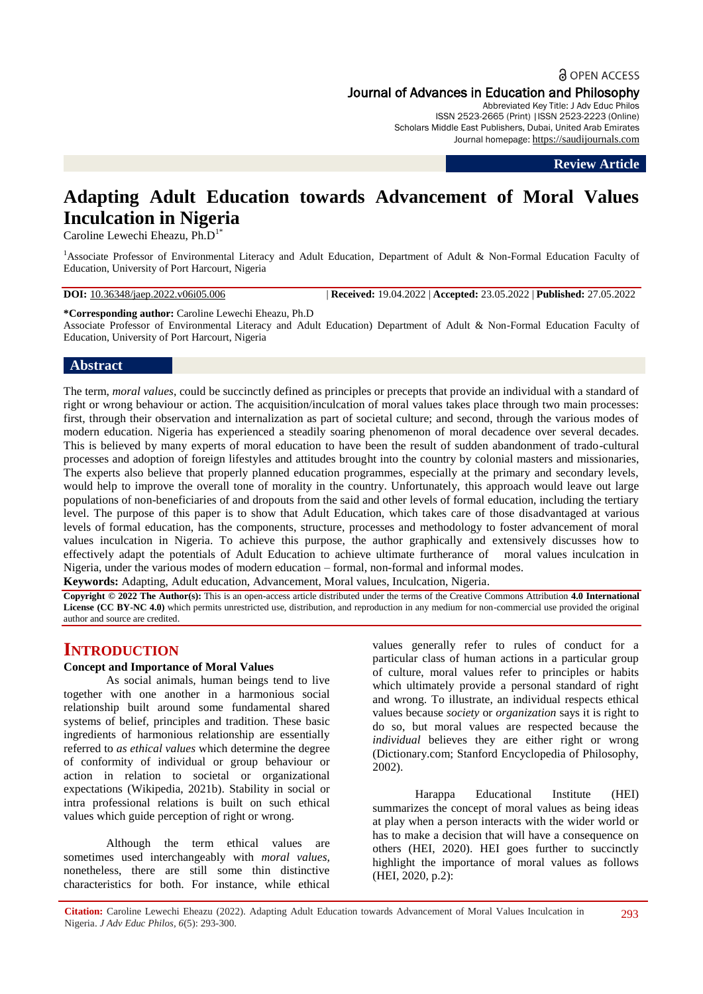# **a** OPEN ACCESS Journal of Advances in Education and Philosophy

Abbreviated Key Title: J Adv Educ Philos ISSN 2523-2665 (Print) |ISSN 2523-2223 (Online) Scholars Middle East Publishers, Dubai, United Arab Emirates Journal homepage: [https://saudijournals.com](https://saudijournals.com/jaep)

**Review Article**

# **Adapting Adult Education towards Advancement of Moral Values Inculcation in Nigeria**

Caroline Lewechi Eheazu,  $Ph.D<sup>1*</sup>$ 

<sup>1</sup>Associate Professor of Environmental Literacy and Adult Education, Department of Adult & Non-Formal Education Faculty of Education, University of Port Harcourt, Nigeria

**DOI:** 10.36348/jaep.2022.v06i05.006 | **Received:** 19.04.2022 | **Accepted:** 23.05.2022 | **Published:** 27.05.2022

**\*Corresponding author:** Caroline Lewechi Eheazu, Ph.D

Associate Professor of Environmental Literacy and Adult Education) Department of Adult & Non-Formal Education Faculty of Education, University of Port Harcourt, Nigeria

#### **Abstract**

The term, *moral values*, could be succinctly defined as principles or precepts that provide an individual with a standard of right or wrong behaviour or action. The acquisition/inculcation of moral values takes place through two main processes: first, through their observation and internalization as part of societal culture; and second, through the various modes of modern education. Nigeria has experienced a steadily soaring phenomenon of moral decadence over several decades. This is believed by many experts of moral education to have been the result of sudden abandonment of trado-cultural processes and adoption of foreign lifestyles and attitudes brought into the country by colonial masters and missionaries, The experts also believe that properly planned education programmes, especially at the primary and secondary levels, would help to improve the overall tone of morality in the country. Unfortunately, this approach would leave out large populations of non-beneficiaries of and dropouts from the said and other levels of formal education, including the tertiary level. The purpose of this paper is to show that Adult Education, which takes care of those disadvantaged at various levels of formal education, has the components, structure, processes and methodology to foster advancement of moral values inculcation in Nigeria. To achieve this purpose, the author graphically and extensively discusses how to effectively adapt the potentials of Adult Education to achieve ultimate furtherance of moral values inculcation in Nigeria, under the various modes of modern education – formal, non-formal and informal modes.

**Keywords:** Adapting, Adult education, Advancement, Moral values, Inculcation, Nigeria.

**Copyright © 2022 The Author(s):** This is an open-access article distributed under the terms of the Creative Commons Attribution **4.0 International**  License (CC BY-NC 4.0) which permits unrestricted use, distribution, and reproduction in any medium for non-commercial use provided the original author and source are credited.

# **INTRODUCTION**

#### **Concept and Importance of Moral Values**

As social animals, human beings tend to live together with one another in a harmonious social relationship built around some fundamental shared systems of belief, principles and tradition. These basic ingredients of harmonious relationship are essentially referred to *as ethical values* which determine the degree of conformity of individual or group behaviour or action in relation to societal or organizational expectations (Wikipedia, 2021b). Stability in social or intra professional relations is built on such ethical values which guide perception of right or wrong.

Although the term ethical values are sometimes used interchangeably with *moral values,* nonetheless, there are still some thin distinctive characteristics for both. For instance, while ethical

values generally refer to rules of conduct for a particular class of human actions in a particular group of culture, moral values refer to principles or habits which ultimately provide a personal standard of right and wrong. To illustrate, an individual respects ethical values because *society* or *organization* says it is right to do so, but moral values are respected because the *individual* believes they are either right or wrong (Dictionary.com; Stanford Encyclopedia of Philosophy, 2002).

Harappa Educational Institute (HEI) summarizes the concept of moral values as being ideas at play when a person interacts with the wider world or has to make a decision that will have a consequence on others (HEI, 2020). HEI goes further to succinctly highlight the importance of moral values as follows (HEI, 2020, p.2):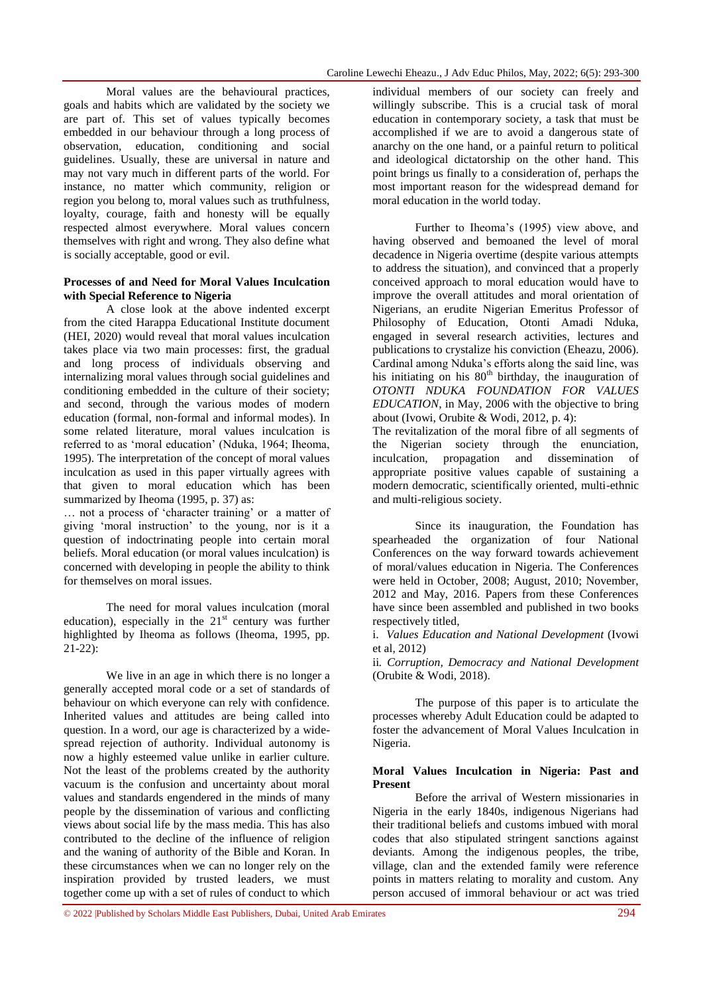Moral values are the behavioural practices, goals and habits which are validated by the society we are part of. This set of values typically becomes embedded in our behaviour through a long process of observation, education, conditioning and social guidelines. Usually, these are universal in nature and may not vary much in different parts of the world. For instance, no matter which community, religion or region you belong to, moral values such as truthfulness, loyalty, courage, faith and honesty will be equally respected almost everywhere. Moral values concern themselves with right and wrong. They also define what is socially acceptable, good or evil.

#### **Processes of and Need for Moral Values Inculcation with Special Reference to Nigeria**

A close look at the above indented excerpt from the cited Harappa Educational Institute document (HEI, 2020) would reveal that moral values inculcation takes place via two main processes: first, the gradual and long process of individuals observing and internalizing moral values through social guidelines and conditioning embedded in the culture of their society; and second, through the various modes of modern education (formal, non-formal and informal modes). In some related literature, moral values inculcation is referred to as 'moral education' (Nduka, 1964; Iheoma, 1995). The interpretation of the concept of moral values inculcation as used in this paper virtually agrees with that given to moral education which has been summarized by Iheoma (1995, p. 37) as:

... not a process of 'character training' or a matter of giving ‗moral instruction' to the young, nor is it a question of indoctrinating people into certain moral beliefs. Moral education (or moral values inculcation) is concerned with developing in people the ability to think for themselves on moral issues.

The need for moral values inculcation (moral education), especially in the  $21<sup>st</sup>$  century was further highlighted by Iheoma as follows (Iheoma, 1995, pp. 21-22):

We live in an age in which there is no longer a generally accepted moral code or a set of standards of behaviour on which everyone can rely with confidence. Inherited values and attitudes are being called into question. In a word, our age is characterized by a widespread rejection of authority. Individual autonomy is now a highly esteemed value unlike in earlier culture. Not the least of the problems created by the authority vacuum is the confusion and uncertainty about moral values and standards engendered in the minds of many people by the dissemination of various and conflicting views about social life by the mass media. This has also contributed to the decline of the influence of religion and the waning of authority of the Bible and Koran. In these circumstances when we can no longer rely on the inspiration provided by trusted leaders, we must together come up with a set of rules of conduct to which

individual members of our society can freely and willingly subscribe. This is a crucial task of moral education in contemporary society, a task that must be accomplished if we are to avoid a dangerous state of anarchy on the one hand, or a painful return to political and ideological dictatorship on the other hand. This point brings us finally to a consideration of, perhaps the most important reason for the widespread demand for moral education in the world today.

Further to Iheoma's (1995) view above, and having observed and bemoaned the level of moral decadence in Nigeria overtime (despite various attempts to address the situation), and convinced that a properly conceived approach to moral education would have to improve the overall attitudes and moral orientation of Nigerians, an erudite Nigerian Emeritus Professor of Philosophy of Education, Otonti Amadi Nduka, engaged in several research activities, lectures and publications to crystalize his conviction (Eheazu, 2006). Cardinal among Nduka's efforts along the said line, was his initiating on his  $80<sup>th</sup>$  birthday, the inauguration of *OTONTI NDUKA FOUNDATION FOR VALUES EDUCATION*, in May, 2006 with the objective to bring about (Ivowi, Orubite & Wodi, 2012, p. 4):

The revitalization of the moral fibre of all segments of the Nigerian society through the enunciation, inculcation, propagation and dissemination of appropriate positive values capable of sustaining a modern democratic, scientifically oriented, multi-ethnic and multi-religious society.

Since its inauguration, the Foundation has spearheaded the organization of four National Conferences on the way forward towards achievement of moral/values education in Nigeria. The Conferences were held in October, 2008; August, 2010; November, 2012 and May, 2016. Papers from these Conferences have since been assembled and published in two books respectively titled,

i. *Values Education and National Development* (Ivowi et al, 2012)

ii*. Corruption, Democracy and National Development*  (Orubite & Wodi, 2018).

The purpose of this paper is to articulate the processes whereby Adult Education could be adapted to foster the advancement of Moral Values Inculcation in Nigeria.

#### **Moral Values Inculcation in Nigeria: Past and Present**

Before the arrival of Western missionaries in Nigeria in the early 1840s, indigenous Nigerians had their traditional beliefs and customs imbued with moral codes that also stipulated stringent sanctions against deviants. Among the indigenous peoples, the tribe, village, clan and the extended family were reference points in matters relating to morality and custom. Any person accused of immoral behaviour or act was tried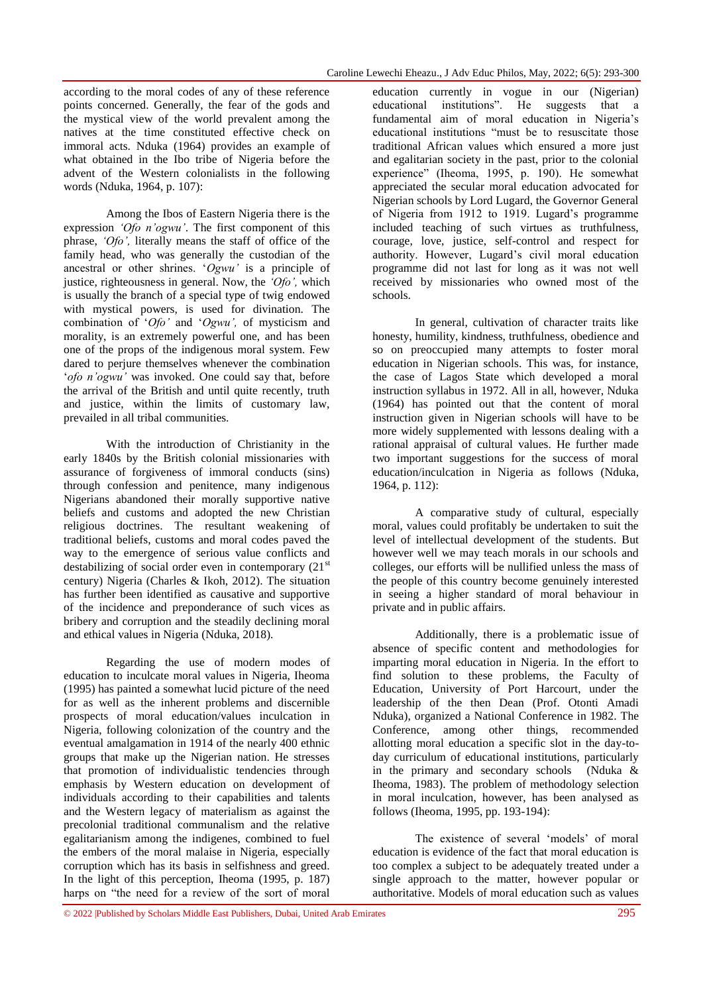according to the moral codes of any of these reference points concerned. Generally, the fear of the gods and the mystical view of the world prevalent among the natives at the time constituted effective check on immoral acts. Nduka (1964) provides an example of what obtained in the Ibo tribe of Nigeria before the advent of the Western colonialists in the following words (Nduka, 1964, p. 107):

Among the Ibos of Eastern Nigeria there is the expression *'Ofo n'ogwu'*. The first component of this phrase, *'Ofo',* literally means the staff of office of the family head, who was generally the custodian of the ancestral or other shrines. ‗*Ogwu'* is a principle of justice, righteousness in general. Now, the *'Ofo',* which is usually the branch of a special type of twig endowed with mystical powers, is used for divination. The combination of ‗*Ofo'* and ‗*Ogwu',* of mysticism and morality, is an extremely powerful one, and has been one of the props of the indigenous moral system. Few dared to perjure themselves whenever the combination ‗*ofo n'ogwu'* was invoked. One could say that, before the arrival of the British and until quite recently, truth and justice, within the limits of customary law, prevailed in all tribal communities.

With the introduction of Christianity in the early 1840s by the British colonial missionaries with assurance of forgiveness of immoral conducts (sins) through confession and penitence, many indigenous Nigerians abandoned their morally supportive native beliefs and customs and adopted the new Christian religious doctrines. The resultant weakening of traditional beliefs, customs and moral codes paved the way to the emergence of serious value conflicts and destabilizing of social order even in contemporary  $(21<sup>st</sup>)$ century) Nigeria (Charles & Ikoh, 2012). The situation has further been identified as causative and supportive of the incidence and preponderance of such vices as bribery and corruption and the steadily declining moral and ethical values in Nigeria (Nduka, 2018).

Regarding the use of modern modes of education to inculcate moral values in Nigeria, Iheoma (1995) has painted a somewhat lucid picture of the need for as well as the inherent problems and discernible prospects of moral education/values inculcation in Nigeria, following colonization of the country and the eventual amalgamation in 1914 of the nearly 400 ethnic groups that make up the Nigerian nation. He stresses that promotion of individualistic tendencies through emphasis by Western education on development of individuals according to their capabilities and talents and the Western legacy of materialism as against the precolonial traditional communalism and the relative egalitarianism among the indigenes, combined to fuel the embers of the moral malaise in Nigeria, especially corruption which has its basis in selfishness and greed. In the light of this perception, Iheoma (1995, p. 187) harps on "the need for a review of the sort of moral

education currently in vogue in our (Nigerian) educational institutions". He suggests that a fundamental aim of moral education in Nigeria's educational institutions "must be to resuscitate those traditional African values which ensured a more just and egalitarian society in the past, prior to the colonial experience" (Iheoma, 1995, p. 190). He somewhat appreciated the secular moral education advocated for Nigerian schools by Lord Lugard, the Governor General of Nigeria from 1912 to 1919. Lugard's programme included teaching of such virtues as truthfulness, courage, love, justice, self-control and respect for authority. However, Lugard's civil moral education programme did not last for long as it was not well received by missionaries who owned most of the schools.

In general, cultivation of character traits like honesty, humility, kindness, truthfulness, obedience and so on preoccupied many attempts to foster moral education in Nigerian schools. This was, for instance, the case of Lagos State which developed a moral instruction syllabus in 1972. All in all, however, Nduka (1964) has pointed out that the content of moral instruction given in Nigerian schools will have to be more widely supplemented with lessons dealing with a rational appraisal of cultural values. He further made two important suggestions for the success of moral education/inculcation in Nigeria as follows (Nduka, 1964, p. 112):

A comparative study of cultural, especially moral, values could profitably be undertaken to suit the level of intellectual development of the students. But however well we may teach morals in our schools and colleges, our efforts will be nullified unless the mass of the people of this country become genuinely interested in seeing a higher standard of moral behaviour in private and in public affairs.

Additionally, there is a problematic issue of absence of specific content and methodologies for imparting moral education in Nigeria. In the effort to find solution to these problems, the Faculty of Education, University of Port Harcourt, under the leadership of the then Dean (Prof. Otonti Amadi Nduka), organized a National Conference in 1982. The Conference, among other things, recommended allotting moral education a specific slot in the day-today curriculum of educational institutions, particularly in the primary and secondary schools (Nduka & Iheoma, 1983). The problem of methodology selection in moral inculcation, however, has been analysed as follows (Iheoma, 1995, pp. 193-194):

The existence of several 'models' of moral education is evidence of the fact that moral education is too complex a subject to be adequately treated under a single approach to the matter, however popular or authoritative. Models of moral education such as values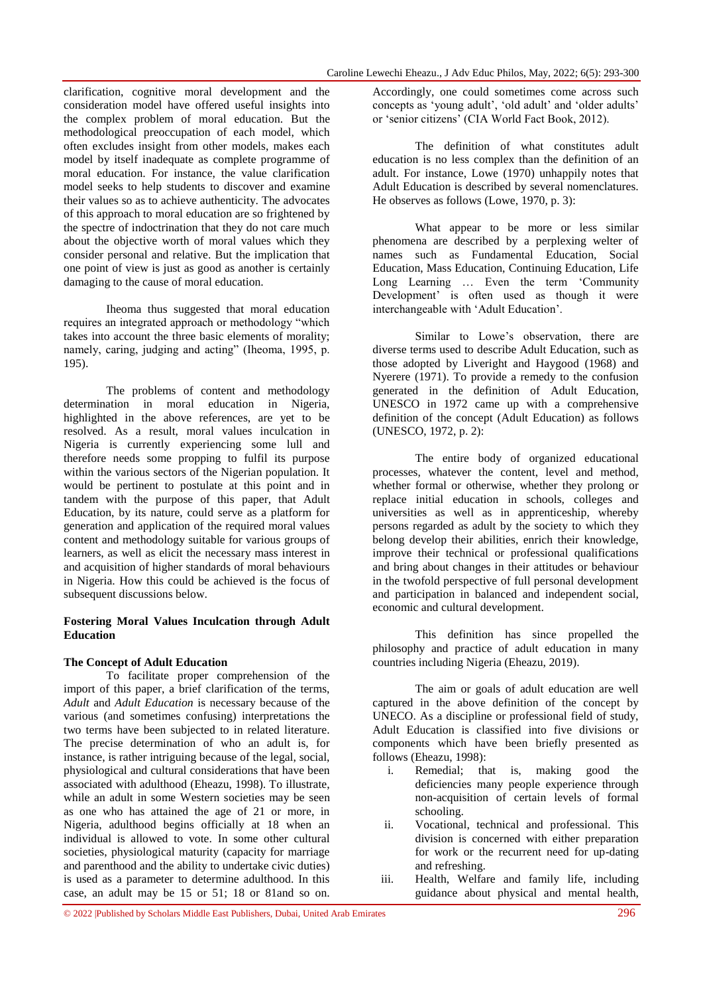clarification, cognitive moral development and the consideration model have offered useful insights into the complex problem of moral education. But the methodological preoccupation of each model, which often excludes insight from other models, makes each model by itself inadequate as complete programme of moral education. For instance, the value clarification model seeks to help students to discover and examine their values so as to achieve authenticity. The advocates of this approach to moral education are so frightened by the spectre of indoctrination that they do not care much about the objective worth of moral values which they consider personal and relative. But the implication that one point of view is just as good as another is certainly damaging to the cause of moral education.

Iheoma thus suggested that moral education requires an integrated approach or methodology "which takes into account the three basic elements of morality; namely, caring, judging and acting" (Iheoma, 1995, p. 195).

The problems of content and methodology determination in moral education in Nigeria, highlighted in the above references, are yet to be resolved. As a result, moral values inculcation in Nigeria is currently experiencing some lull and therefore needs some propping to fulfil its purpose within the various sectors of the Nigerian population. It would be pertinent to postulate at this point and in tandem with the purpose of this paper, that Adult Education, by its nature, could serve as a platform for generation and application of the required moral values content and methodology suitable for various groups of learners, as well as elicit the necessary mass interest in and acquisition of higher standards of moral behaviours in Nigeria. How this could be achieved is the focus of subsequent discussions below.

# **Fostering Moral Values Inculcation through Adult Education**

#### **The Concept of Adult Education**

To facilitate proper comprehension of the import of this paper, a brief clarification of the terms, *Adult* and *Adult Education* is necessary because of the various (and sometimes confusing) interpretations the two terms have been subjected to in related literature. The precise determination of who an adult is, for instance, is rather intriguing because of the legal, social, physiological and cultural considerations that have been associated with adulthood (Eheazu, 1998). To illustrate, while an adult in some Western societies may be seen as one who has attained the age of 21 or more, in Nigeria, adulthood begins officially at 18 when an individual is allowed to vote. In some other cultural societies, physiological maturity (capacity for marriage and parenthood and the ability to undertake civic duties) is used as a parameter to determine adulthood. In this case, an adult may be 15 or 51; 18 or 81and so on.

Accordingly, one could sometimes come across such concepts as 'young adult', 'old adult' and 'older adults' or 'senior citizens' (CIA World Fact Book, 2012).

The definition of what constitutes adult education is no less complex than the definition of an adult. For instance, Lowe (1970) unhappily notes that Adult Education is described by several nomenclatures. He observes as follows (Lowe, 1970, p. 3):

What appear to be more or less similar phenomena are described by a perplexing welter of names such as Fundamental Education, Social Education, Mass Education, Continuing Education, Life Long Learning ... Even the term 'Community Development' is often used as though it were interchangeable with 'Adult Education'.

Similar to Lowe's observation, there are diverse terms used to describe Adult Education, such as those adopted by Liveright and Haygood (1968) and Nyerere (1971). To provide a remedy to the confusion generated in the definition of Adult Education, UNESCO in 1972 came up with a comprehensive definition of the concept (Adult Education) as follows (UNESCO, 1972, p. 2):

The entire body of organized educational processes, whatever the content, level and method, whether formal or otherwise, whether they prolong or replace initial education in schools, colleges and universities as well as in apprenticeship, whereby persons regarded as adult by the society to which they belong develop their abilities, enrich their knowledge, improve their technical or professional qualifications and bring about changes in their attitudes or behaviour in the twofold perspective of full personal development and participation in balanced and independent social, economic and cultural development.

This definition has since propelled the philosophy and practice of adult education in many countries including Nigeria (Eheazu, 2019).

The aim or goals of adult education are well captured in the above definition of the concept by UNECO. As a discipline or professional field of study, Adult Education is classified into five divisions or components which have been briefly presented as follows (Eheazu, 1998):

- i. Remedial; that is, making good the deficiencies many people experience through non-acquisition of certain levels of formal schooling.
- ii. Vocational, technical and professional. This division is concerned with either preparation for work or the recurrent need for up-dating and refreshing.
- iii. Health, Welfare and family life, including guidance about physical and mental health,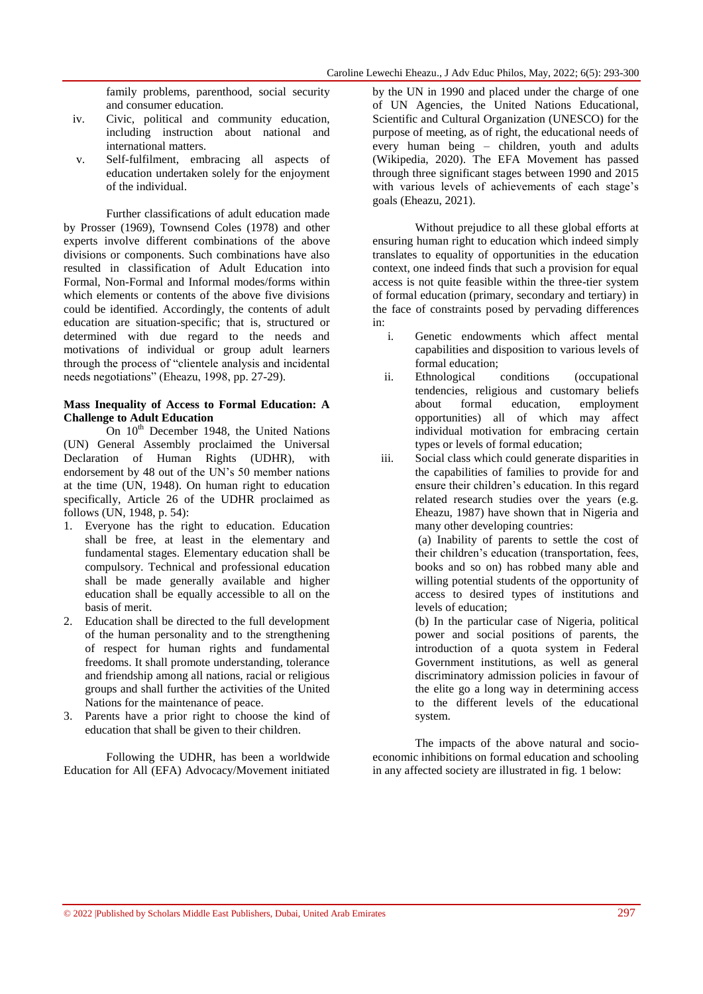family problems, parenthood, social security and consumer education.

- iv. Civic, political and community education, including instruction about national and international matters.
- v. Self-fulfilment, embracing all aspects of education undertaken solely for the enjoyment of the individual.

Further classifications of adult education made by Prosser (1969), Townsend Coles (1978) and other experts involve different combinations of the above divisions or components. Such combinations have also resulted in classification of Adult Education into Formal, Non-Formal and Informal modes/forms within which elements or contents of the above five divisions could be identified. Accordingly, the contents of adult education are situation-specific; that is, structured or determined with due regard to the needs and motivations of individual or group adult learners through the process of "clientele analysis and incidental needs negotiations" (Eheazu, 1998, pp. 27-29).

#### **Mass Inequality of Access to Formal Education: A Challenge to Adult Education**

On  $10<sup>th</sup>$  December 1948, the United Nations (UN) General Assembly proclaimed the Universal Declaration of Human Rights (UDHR), with endorsement by 48 out of the UN's 50 member nations at the time (UN, 1948). On human right to education specifically, Article 26 of the UDHR proclaimed as follows (UN, 1948, p. 54):

- 1. Everyone has the right to education. Education shall be free, at least in the elementary and fundamental stages. Elementary education shall be compulsory. Technical and professional education shall be made generally available and higher education shall be equally accessible to all on the basis of merit.
- 2. Education shall be directed to the full development of the human personality and to the strengthening of respect for human rights and fundamental freedoms. It shall promote understanding, tolerance and friendship among all nations, racial or religious groups and shall further the activities of the United Nations for the maintenance of peace.
- 3. Parents have a prior right to choose the kind of education that shall be given to their children.

Following the UDHR, has been a worldwide Education for All (EFA) Advocacy/Movement initiated by the UN in 1990 and placed under the charge of one of UN Agencies, the United Nations Educational, Scientific and Cultural Organization (UNESCO) for the purpose of meeting, as of right, the educational needs of every human being – children, youth and adults (Wikipedia, 2020). The EFA Movement has passed through three significant stages between 1990 and 2015 with various levels of achievements of each stage's goals (Eheazu, 2021).

Without prejudice to all these global efforts at ensuring human right to education which indeed simply translates to equality of opportunities in the education context, one indeed finds that such a provision for equal access is not quite feasible within the three-tier system of formal education (primary, secondary and tertiary) in the face of constraints posed by pervading differences in:

- i. Genetic endowments which affect mental capabilities and disposition to various levels of formal education;
- ii. Ethnological conditions (occupational tendencies, religious and customary beliefs about formal education, employment opportunities) all of which may affect individual motivation for embracing certain types or levels of formal education;
- iii. Social class which could generate disparities in the capabilities of families to provide for and ensure their children's education. In this regard related research studies over the years (e.g. Eheazu, 1987) have shown that in Nigeria and many other developing countries:

(a) Inability of parents to settle the cost of their children's education (transportation, fees, books and so on) has robbed many able and willing potential students of the opportunity of access to desired types of institutions and levels of education;

(b) In the particular case of Nigeria, political power and social positions of parents, the introduction of a quota system in Federal Government institutions, as well as general discriminatory admission policies in favour of the elite go a long way in determining access to the different levels of the educational system.

The impacts of the above natural and socioeconomic inhibitions on formal education and schooling in any affected society are illustrated in fig. 1 below: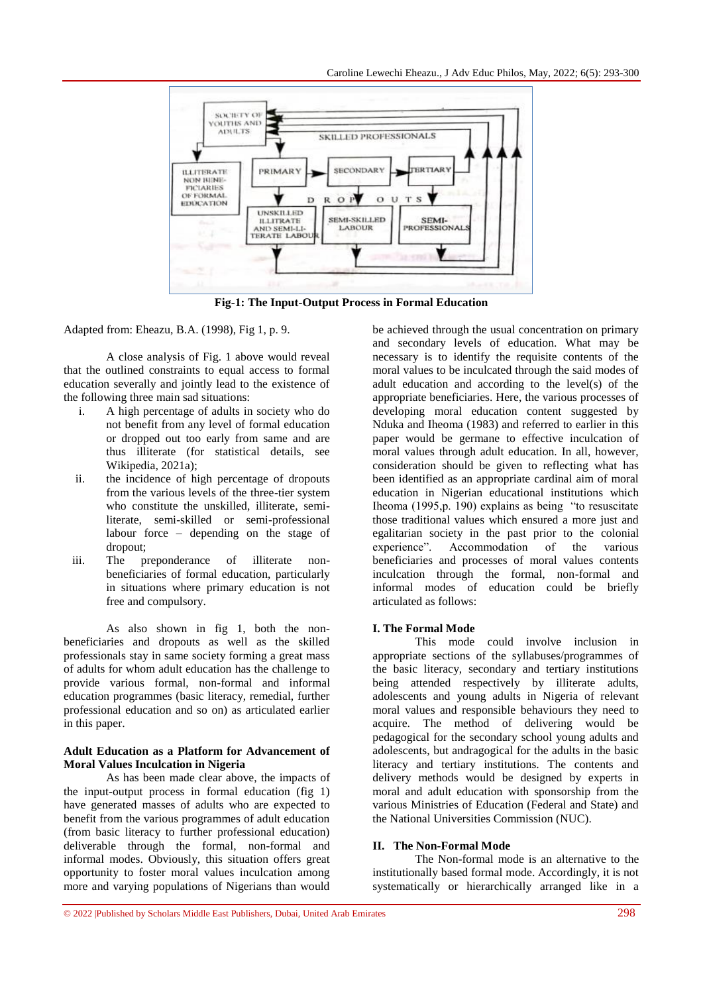

**Fig-1: The Input-Output Process in Formal Education**

Adapted from: Eheazu, B.A. (1998), Fig 1, p. 9.

A close analysis of Fig. 1 above would reveal that the outlined constraints to equal access to formal education severally and jointly lead to the existence of the following three main sad situations:

- i. A high percentage of adults in society who do not benefit from any level of formal education or dropped out too early from same and are thus illiterate (for statistical details, see Wikipedia, 2021a);
- ii. the incidence of high percentage of dropouts from the various levels of the three-tier system who constitute the unskilled, illiterate, semiliterate, semi-skilled or semi-professional labour force – depending on the stage of dropout;
- iii. The preponderance of illiterate nonbeneficiaries of formal education, particularly in situations where primary education is not free and compulsory.

As also shown in fig 1, both the nonbeneficiaries and dropouts as well as the skilled professionals stay in same society forming a great mass of adults for whom adult education has the challenge to provide various formal, non-formal and informal education programmes (basic literacy, remedial, further professional education and so on) as articulated earlier in this paper.

#### **Adult Education as a Platform for Advancement of Moral Values Inculcation in Nigeria**

As has been made clear above, the impacts of the input-output process in formal education (fig 1) have generated masses of adults who are expected to benefit from the various programmes of adult education (from basic literacy to further professional education) deliverable through the formal, non-formal and informal modes. Obviously, this situation offers great opportunity to foster moral values inculcation among more and varying populations of Nigerians than would

be achieved through the usual concentration on primary and secondary levels of education. What may be necessary is to identify the requisite contents of the moral values to be inculcated through the said modes of adult education and according to the level(s) of the appropriate beneficiaries. Here, the various processes of developing moral education content suggested by Nduka and Iheoma (1983) and referred to earlier in this paper would be germane to effective inculcation of moral values through adult education. In all, however, consideration should be given to reflecting what has been identified as an appropriate cardinal aim of moral education in Nigerian educational institutions which Iheoma  $(1995,p. 190)$  explains as being "to resuscitate those traditional values which ensured a more just and egalitarian society in the past prior to the colonial experience". Accommodation of the various beneficiaries and processes of moral values contents inculcation through the formal, non-formal and informal modes of education could be briefly articulated as follows:

# **I. The Formal Mode**

This mode could involve inclusion in appropriate sections of the syllabuses/programmes of the basic literacy, secondary and tertiary institutions being attended respectively by illiterate adults, adolescents and young adults in Nigeria of relevant moral values and responsible behaviours they need to acquire. The method of delivering would be pedagogical for the secondary school young adults and adolescents, but andragogical for the adults in the basic literacy and tertiary institutions. The contents and delivery methods would be designed by experts in moral and adult education with sponsorship from the various Ministries of Education (Federal and State) and the National Universities Commission (NUC).

# **II. The Non-Formal Mode**

The Non-formal mode is an alternative to the institutionally based formal mode. Accordingly, it is not systematically or hierarchically arranged like in a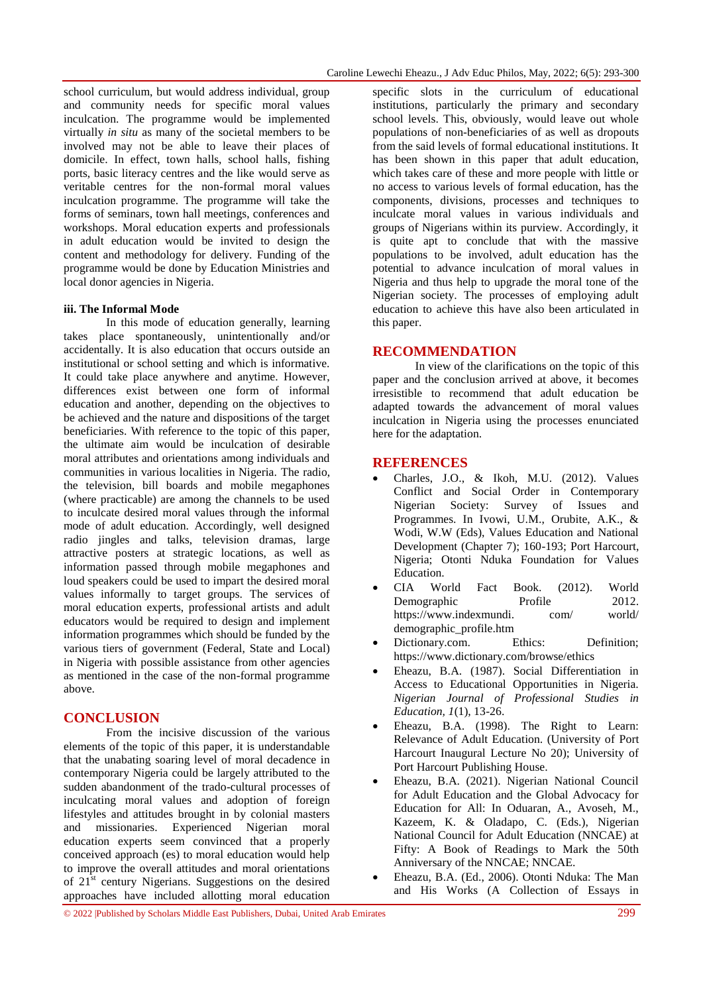school curriculum, but would address individual, group and community needs for specific moral values inculcation. The programme would be implemented virtually *in situ* as many of the societal members to be involved may not be able to leave their places of domicile. In effect, town halls, school halls, fishing ports, basic literacy centres and the like would serve as veritable centres for the non-formal moral values inculcation programme. The programme will take the forms of seminars, town hall meetings, conferences and workshops. Moral education experts and professionals in adult education would be invited to design the content and methodology for delivery. Funding of the programme would be done by Education Ministries and local donor agencies in Nigeria.

#### **iii. The Informal Mode**

In this mode of education generally, learning takes place spontaneously, unintentionally and/or accidentally. It is also education that occurs outside an institutional or school setting and which is informative. It could take place anywhere and anytime. However, differences exist between one form of informal education and another, depending on the objectives to be achieved and the nature and dispositions of the target beneficiaries. With reference to the topic of this paper, the ultimate aim would be inculcation of desirable moral attributes and orientations among individuals and communities in various localities in Nigeria. The radio, the television, bill boards and mobile megaphones (where practicable) are among the channels to be used to inculcate desired moral values through the informal mode of adult education. Accordingly, well designed radio jingles and talks, television dramas, large attractive posters at strategic locations, as well as information passed through mobile megaphones and loud speakers could be used to impart the desired moral values informally to target groups. The services of moral education experts, professional artists and adult educators would be required to design and implement information programmes which should be funded by the various tiers of government (Federal, State and Local) in Nigeria with possible assistance from other agencies as mentioned in the case of the non-formal programme above.

# **CONCLUSION**

From the incisive discussion of the various elements of the topic of this paper, it is understandable that the unabating soaring level of moral decadence in contemporary Nigeria could be largely attributed to the sudden abandonment of the trado-cultural processes of inculcating moral values and adoption of foreign lifestyles and attitudes brought in by colonial masters and missionaries. Experienced Nigerian moral education experts seem convinced that a properly conceived approach (es) to moral education would help to improve the overall attitudes and moral orientations of  $21<sup>st</sup>$  century Nigerians. Suggestions on the desired approaches have included allotting moral education

specific slots in the curriculum of educational institutions, particularly the primary and secondary school levels. This, obviously, would leave out whole populations of non-beneficiaries of as well as dropouts from the said levels of formal educational institutions. It has been shown in this paper that adult education, which takes care of these and more people with little or no access to various levels of formal education, has the components, divisions, processes and techniques to inculcate moral values in various individuals and groups of Nigerians within its purview. Accordingly, it is quite apt to conclude that with the massive populations to be involved, adult education has the potential to advance inculcation of moral values in Nigeria and thus help to upgrade the moral tone of the Nigerian society. The processes of employing adult education to achieve this have also been articulated in this paper.

#### **RECOMMENDATION**

In view of the clarifications on the topic of this paper and the conclusion arrived at above, it becomes irresistible to recommend that adult education be adapted towards the advancement of moral values inculcation in Nigeria using the processes enunciated here for the adaptation.

#### **REFERENCES**

- Charles, J.O., & Ikoh, M.U. (2012). Values Conflict and Social Order in Contemporary Nigerian Society: Survey of Issues and Programmes. In Ivowi, U.M., Orubite, A.K., & Wodi, W.W (Eds), Values Education and National Development (Chapter 7); 160-193; Port Harcourt, Nigeria; Otonti Nduka Foundation for Values Education.
- CIA World Fact Book. (2012). World Demographic Profile 2012. https://www.indexmundi. com/ world/ demographic\_profile.htm
- Dictionary.com. Ethics: Definition; https://www.dictionary.com/browse/ethics
- Eheazu, B.A. (1987). Social Differentiation in Access to Educational Opportunities in Nigeria. *Nigerian Journal of Professional Studies in Education, 1*(1), 13-26.
- Eheazu, B.A. (1998). The Right to Learn: Relevance of Adult Education. (University of Port Harcourt Inaugural Lecture No 20); University of Port Harcourt Publishing House.
- Eheazu, B.A. (2021). Nigerian National Council for Adult Education and the Global Advocacy for Education for All: In Oduaran, A., Avoseh, M., Kazeem, K. & Oladapo, C. (Eds.), Nigerian National Council for Adult Education (NNCAE) at Fifty: A Book of Readings to Mark the 50th Anniversary of the NNCAE; NNCAE.
- Eheazu, B.A. (Ed., 2006). Otonti Nduka: The Man and His Works (A Collection of Essays in